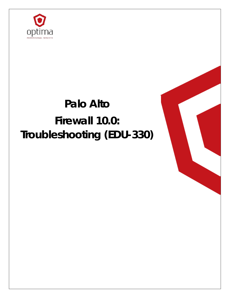

# **Palo Alto Firewall 10.0: Troubleshooting (EDU-330)**

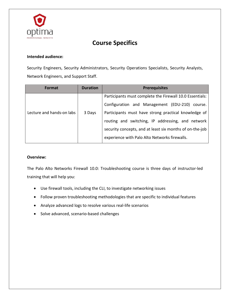

## **Course Specifics**

#### **Intended audience:**

Security Engineers, Security Administrators, Security Operations Specialists, Security Analysts, Network Engineers, and Support Staff.

| <b>Format</b>             | <b>Duration</b> | <b>Prerequisites</b>                                     |
|---------------------------|-----------------|----------------------------------------------------------|
|                           |                 | Participants must complete the Firewall 10.0 Essentials: |
| Lecture and hands-on labs | 3 Days          | Configuration and Management (EDU-210) course.           |
|                           |                 | Participants must have strong practical knowledge of     |
|                           |                 | routing and switching, IP addressing, and network        |
|                           |                 | security concepts, and at least six months of on-the-job |
|                           |                 | experience with Palo Alto Networks firewalls.            |

#### **Overview:**

The Palo Alto Networks Firewall 10.0: Troubleshooting course is three days of instructor-led training that will help you:

- Use firewall tools, including the CLI, to investigate networking issues
- Follow proven troubleshooting methodologies that are specific to individual features
- Analyze advanced logs to resolve various real-life scenarios
- Solve advanced, scenario-based challenges